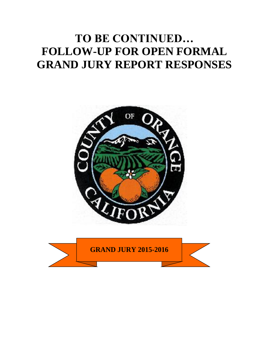# **TO BE CONTINUED… FOLLOW-UP FOR OPEN FORMAL GRAND JURY REPORT RESPONSES**



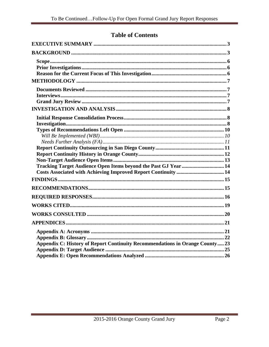# **Table of Contents**

| Tracking Target Audience Open Items beyond the Past GJ Year  14              |
|------------------------------------------------------------------------------|
|                                                                              |
|                                                                              |
|                                                                              |
|                                                                              |
| Appendix C: History of Report Continuity Recommendations in Orange County 23 |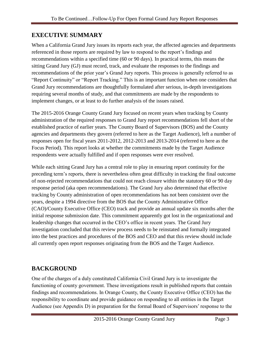# <span id="page-3-0"></span>**EXECUTIVE SUMMARY**

When a California Grand Jury issues its reports each year, the affected agencies and departments referenced in those reports are required by law to respond to the report's findings and recommendations within a specified time (60 or 90 days). In practical terms, this means the sitting Grand Jury (GJ) must record, track, and evaluate the responses to the findings and recommendations of the prior year's Grand Jury reports. This process is generally referred to as "Report Continuity" or "Report Tracking." This is an important function when one considers that Grand Jury recommendations are thoughtfully formulated after serious, in-depth investigations requiring several months of study, and that commitments are made by the respondents to implement changes, or at least to do further analysis of the issues raised.

The 2015-2016 Orange County Grand Jury focused on recent years when tracking by County administration of the required responses to Grand Jury report recommendations fell short of the established practice of earlier years. The County Board of Supervisors (BOS) and the County agencies and departments they govern (referred to here as the Target Audience), left a number of responses open for fiscal years 2011-2012, 2012-2013 and 2013-2014 (referred to here as the Focus Period). This report looks at whether the commitments made by the Target Audience respondents were actually fulfilled and if open responses were ever resolved.

While each sitting Grand Jury has a central role to play in ensuring report continuity for the preceding term's reports, there is nevertheless often great difficulty in tracking the final outcome of non-rejected recommendations that could not reach closure within the statutory 60 or 90 day response period (aka open recommendations). The Grand Jury also determined that effective tracking by County administration of open recommendations has not been consistent over the years, despite a 1994 directive from the BOS that the County Administrative Office (CAO)/County Executive Office (CEO) track and provide an annual update six months after the initial response submission date. This commitment apparently got lost in the organizational and leadership changes that occurred in the CEO's office in recent years. The Grand Jury investigation concluded that this review process needs to be reinstated and formally integrated into the best practices and procedures of the BOS and CEO and that this review should include all currently open report responses originating from the BOS and the Target Audience.

# <span id="page-3-1"></span>**BACKGROUND**

One of the charges of a duly constituted California Civil Grand Jury is to investigate the functioning of county government. These investigations result in published reports that contain findings and recommendations. In Orange County, the County Executive Office (CEO) has the responsibility to coordinate and provide guidance on responding to all entities in the Target Audience (see Appendix D) in preparation for the formal Board of Supervisors' response to the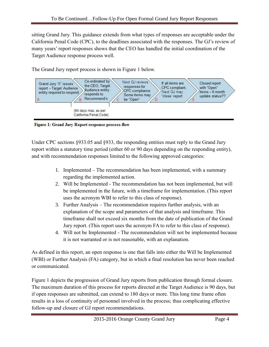sitting Grand Jury. This guidance extends from what types of responses are acceptable under the California Penal Code (CPC), to the deadlines associated with the responses. The GJ's review of many years' report responses shows that the CEO has handled the initial coordination of the Target Audience response process well.

The Grand Jury report process is shown in Figure 1 below.



Figure 1: Grand Jury Report response process-flow

Under CPC sections §933.05 and §933, the responding entities must reply to the Grand Jury report within a statutory time period (either 60 or 90 days depending on the responding entity), and with recommendation responses limited to the following approved categories:

- 1. Implemented The recommendation has been implemented, with a summary regarding the implemented action.
- 2. Will be Implemented The recommendation has not been implemented, but will be implemented in the future, with a timeframe for implementation. (This report uses the acronym WBI to refer to this class of response).
- 3. Further Analysis The recommendation requires further analysis, with an explanation of the scope and parameters of that analysis and timeframe. This timeframe shall not exceed six months from the date of publication of the Grand Jury report. (This report uses the acronym FA to refer to this class of response).
- 4. Will not be Implemented The recommendation will not be implemented because it is not warranted or is not reasonable, with an explanation.

As defined in this report, an open response is one that falls into either the Will be Implemented (WBI) or Further Analysis (FA) category, but in which a final resolution has never been reached or communicated.

Figure 1 depicts the progression of Grand Jury reports from publication through formal closure. The maximum duration of this process for reports directed at the Target Audience is 90 days, but if open responses are submitted, can extend to 180 days or more. This long time frame often results in a loss of continuity of personnel involved in the process; thus complicating effective follow-up and closure of GJ report recommendations.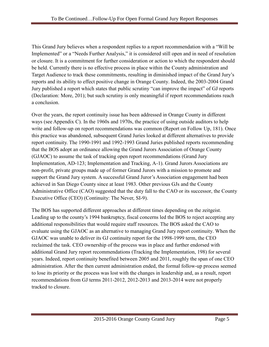This Grand Jury believes when a respondent replies to a report recommendation with a "Will be Implemented" or a "Needs Further Analysis," it is considered still open and in need of resolution or closure. It is a commitment for further consideration or action to which the respondent should be held. Currently there is no effective process in place within the County administration and Target Audience to track these commitments, resulting in diminished impact of the Grand Jury's reports and its ability to effect positive change in Orange County. Indeed, the 2003-2004 Grand Jury published a report which states that public scrutiny "can improve the impact" of GJ reports (Declaration: More, 201); but such scrutiny is only meaningful if report recommendations reach a conclusion.

Over the years, the report continuity issue has been addressed in Orange County in different ways (see Appendix C). In the 1960s and 1970s, the practice of using outside auditors to help write and follow-up on report recommendations was common (Report on Follow Up, 181). Once this practice was abandoned, subsequent Grand Juries looked at different alternatives to provide report continuity. The 1990-1991 and 1992-1993 Grand Juries published reports recommending that the BOS adopt an ordinance allowing the Grand Jurors Association of Orange County (GJAOC) to assume the task of tracking open report recommendations (Grand Jury Implementation, AD-123; Implementation and Tracking, A-1). Grand Jurors Associations are non-profit, private groups made up of former Grand Jurors with a mission to promote and support the Grand Jury system. A successful Grand Juror's Association engagement had been achieved in San Diego County since at least 1983. Other previous GJs and the County Administrative Office (CAO) suggested that the duty fall to the CAO or its successor, the County Executive Office (CEO) (Continuity: The Never, SI-9).

The BOS has supported different approaches at different times depending on the zeitgeist. Leading up to the county's 1994 bankruptcy, fiscal concerns led the BOS to reject accepting any additional responsibilities that would require staff resources. The BOS asked the CAO to evaluate using the GJAOC as an alternative to managing Grand Jury report continuity. When the GJAOC was unable to deliver its GJ continuity report for the 1998-1999 term, the CEO reclaimed the task. CEO ownership of the process was in place and further endorsed with additional Grand Jury report recommendations (Tracking the Implementation, 198) for several years. Indeed, report continuity benefited between 2005 and 2011, roughly the span of one CEO administration. After the then current administration ended, the formal follow-up process seemed to lose its priority or the process was lost with the changes in leadership and, as a result, report recommendations from GJ terms 2011-2012, 2012-2013 and 2013-2014 were not properly tracked to closure.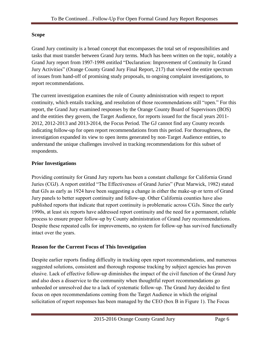## <span id="page-6-0"></span>**Scope**

Grand Jury continuity is a broad concept that encompasses the total set of responsibilities and tasks that must transfer between Grand Jury terms. Much has been written on the topic, notably a Grand Jury report from 1997-1998 entitled "Declaration: Improvement of Continuity In Grand Jury Activities" (Orange County Grand Jury Final Report, 217) that viewed the entire spectrum of issues from hand-off of promising study proposals, to ongoing complaint investigations, to report recommendations.

The current investigation examines the role of County administration with respect to report continuity, which entails tracking, and resolution of those recommendations still "open." For this report, the Grand Jury examined responses by the Orange County Board of Supervisors (BOS) and the entities they govern, the Target Audience, for reports issued for the fiscal years 2011- 2012, 2012-2013 and 2013-2014, the Focus Period. The GJ cannot find any County records indicating follow-up for open report recommendations from this period. For thoroughness, the investigation expanded its view to open items generated by non-Target Audience entities, to understand the unique challenges involved in tracking recommendations for this subset of respondents.

### <span id="page-6-1"></span>**Prior Investigations**

Providing continuity for Grand Jury reports has been a constant challenge for California Grand Juries (CGJ). A report entitled "The Effectiveness of Grand Juries" (Peat Marwick, 1982) stated that GJs as early as 1924 have been suggesting a change in either the make-up or term of Grand Jury panels to better support continuity and follow-up. Other California counties have also published reports that indicate that report continuity is problematic across CGJs. Since the early 1990s, at least six reports have addressed report continuity and the need for a permanent, reliable process to ensure proper follow-up by County administration of Grand Jury recommendations. Despite these repeated calls for improvements, no system for follow-up has survived functionally intact over the years.

## <span id="page-6-2"></span>**Reason for the Current Focus of This Investigation**

Despite earlier reports finding difficulty in tracking open report recommendations, and numerous suggested solutions, consistent and thorough response tracking by subject agencies has proven elusive. Lack of effective follow-up diminishes the impact of the civil function of the Grand Jury and also does a disservice to the community when thoughtful report recommendations go unheeded or unresolved due to a lack of systematic follow-up. The Grand Jury decided to first focus on open recommendations coming from the Target Audience in which the original solicitation of report responses has been managed by the CEO (box B in Figure 1). The Focus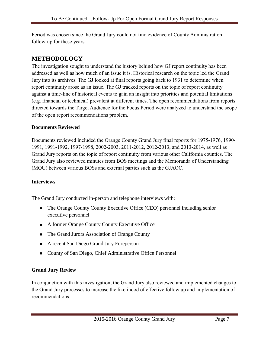Period was chosen since the Grand Jury could not find evidence of County Administration follow-up for these years.

# <span id="page-7-0"></span>**METHODOLOGY**

The investigation sought to understand the history behind how GJ report continuity has been addressed as well as how much of an issue it is. Historical research on the topic led the Grand Jury into its archives. The GJ looked at final reports going back to 1931 to determine when report continuity arose as an issue. The GJ tracked reports on the topic of report continuity against a time-line of historical events to gain an insight into priorities and potential limitations (e.g. financial or technical) prevalent at different times. The open recommendations from reports directed towards the Target Audience for the Focus Period were analyzed to understand the scope of the open report recommendations problem.

#### <span id="page-7-1"></span>**Documents Reviewed**

Documents reviewed included the Orange County Grand Jury final reports for 1975-1976, 1990- 1991, 1991-1992, 1997-1998, 2002-2003, 2011-2012, 2012-2013, and 2013-2014, as well as Grand Jury reports on the topic of report continuity from various other California counties. The Grand Jury also reviewed minutes from BOS meetings and the Memoranda of Understanding (MOU) between various BOSs and external parties such as the GJAOC.

## <span id="page-7-2"></span>**Interviews**

The Grand Jury conducted in-person and telephone interviews with:

- The Orange County County Executive Office (CEO) personnel including senior executive personnel
- A former Orange County County Executive Officer
- The Grand Jurors Association of Orange County
- A recent San Diego Grand Jury Foreperson
- County of San Diego, Chief Administrative Office Personnel

## <span id="page-7-3"></span>**Grand Jury Review**

In conjunction with this investigation, the Grand Jury also reviewed and implemented changes to the Grand Jury processes to increase the likelihood of effective follow up and implementation of recommendations.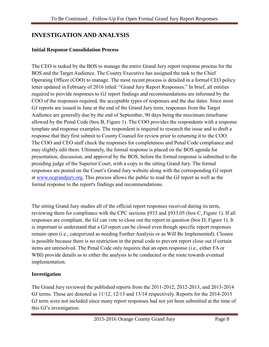# <span id="page-8-0"></span>**INVESTIGATION AND ANALYSIS**

#### <span id="page-8-1"></span>**Initial Response Consolidation Process**

The CEO is tasked by the BOS to manage the entire Grand Jury report response process for the BOS and the Target Audience. The County Executive has assigned the task to the Chief Operating Officer (COO) to manage. The most recent process is detailed in a formal CEO policy letter updated in February of 2016 titled: "Grand Jury Report Responses." In brief, all entities required to provide responses to GJ report findings and recommendations are informed by the COO of the responses required, the acceptable types of responses and the due dates. Since most GJ reports are issued in June at the end of the Grand Jury term, responses from the Target Audience are generally due by the end of September, 90 days being the maximum timeframe allowed by the Penal Code (box B, Figure 1). The COO provides the respondents with a response template and response examples. The respondent is required to research the issue and to draft a response that they first submit to County Counsel for review prior to returning it to the COO. The COO and CEO staff check the responses for completeness and Penal Code compliance and may slightly edit them. Ultimately, the formal response is placed on the BOS agenda for presentation, discussion, and approval by the BOS, before the formal response is submitted to the presiding judge of the Superior Court, with a copy to the sitting Grand Jury. The formal responses are posted on the Court's Grand Jury website along with the corresponding GJ report at [www.ocgrandjury.org.](http://www.ocgrandjury.org/) This process allows the public to read the GJ report as well as the formal response to the report's findings and recommendations.

The sitting Grand Jury studies all of the official report responses received during its term, reviewing them for compliance with the CPC sections §933 and §933.05 (box C, Figure 1). If all responses are compliant, the GJ can vote to close out the report in question (box D, Figure 1). It is important to understand that a GJ report can be closed even though specific report responses remain open (i.e., categorized as needing Further Analysis or as Will Be Implemented). Closure is possible because there is no restriction in the penal code to prevent report close out if certain items are unresolved. The Penal Code only requires that an open response (i.e., either FA or WBI) provide details as to either the analysis to be conducted or the route towards eventual implementation.

#### <span id="page-8-2"></span>**Investigation**

The Grand Jury reviewed the published reports from the 2011-2012, 2012-2013, and 2013-2014 GJ terms. These are denoted as 11/12, 12/13 and 13/14 respectively. Reports for the 2014-2015 GJ term were not included since many report responses had not yet been submitted at the time of this GJ's investigation.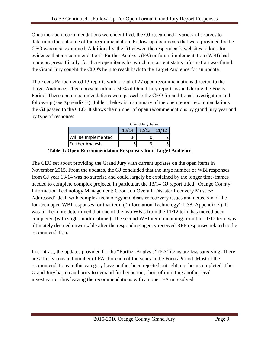Once the open recommendations were identified, the GJ researched a variety of sources to determine the outcome of the recommendation. Follow-up documents that were provided by the CEO were also examined. Additionally, the GJ viewed the respondent's websites to look for evidence that a recommendation's Further Analysis (FA) or future implementation (WBI) had made progress. Finally, for those open items for which no current status information was found, the Grand Jury sought the CEO's help to reach back to the Target Audience for an update.

The Focus Period netted 13 reports with a total of 27 open recommendations directed to the Target Audience. This represents almost 30% of Grand Jury reports issued during the Focus Period. These open recommendations were passed to the CEO for additional investigation and follow-up (see Appendix E). Table 1 below is a summary of the open report recommendations the GJ passed to the CEO. It shows the number of open recommendations by grand jury year and by type of response:

|                         | Grand Jury Term |               |  |  |  |  |  |  |  |
|-------------------------|-----------------|---------------|--|--|--|--|--|--|--|
|                         | 13/14           | $12/13$ 11/12 |  |  |  |  |  |  |  |
| Will Be Implemented     | 14              |               |  |  |  |  |  |  |  |
| <b>Further Analysis</b> |                 |               |  |  |  |  |  |  |  |

**Table 1: Open Recommendation Responses from Target Audience**

The CEO set about providing the Grand Jury with current updates on the open items in November 2015. From the updates, the GJ concluded that the large number of WBI responses from GJ year 13/14 was no surprise and could largely be explained by the longer time-frames needed to complete complex projects. In particular, the 13/14 GJ report titled "Orange County Information Technology Management: Good Job Overall; Disaster Recovery Must Be Addressed" dealt with complex technology and disaster recovery issues and netted six of the fourteen open WBI responses for that term ("Information Technology",1-38; Appendix E). It was furthermore determined that one of the two WBIs from the 11/12 term has indeed been completed (with slight modifications). The second WBI item remaining from the 11/12 term was ultimately deemed unworkable after the responding agency received RFP responses related to the recommendation.

In contrast, the updates provided for the "Further Analysis" (FA) items are less satisfying. There are a fairly constant number of FAs for each of the years in the Focus Period. Most of the recommendations in this category have neither been rejected outright, nor been completed. The Grand Jury has no authority to demand further action, short of initiating another civil investigation thus leaving the recommendations with an open FA unresolved.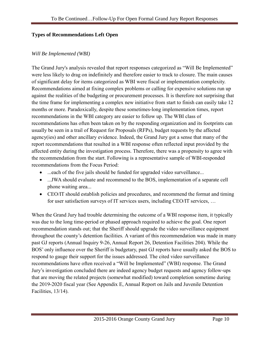#### <span id="page-10-0"></span>**Types of Recommendations Left Open**

#### <span id="page-10-1"></span>*Will Be Implemented (WBI)*

The Grand Jury's analysis revealed that report responses categorized as "Will Be Implemented" were less likely to drag on indefinitely and therefore easier to track to closure. The main causes of significant delay for items categorized as WBI were fiscal or implementation complexity. Recommendations aimed at fixing complex problems or calling for expensive solutions run up against the realities of the budgeting or procurement processes. It is therefore not surprising that the time frame for implementing a complex new initiative from start to finish can easily take 12 months or more. Paradoxically, despite these sometimes-long implementation times, report recommendations in the WBI category are easier to follow up. The WBI class of recommendations has often been taken on by the responding organization and its footprints can usually be seen in a trail of Request for Proposals (RFPs), budget requests by the affected agency(ies) and other ancillary evidence. Indeed, the Grand Jury got a sense that many of the report recommendations that resulted in a WBI response often reflected input provided by the affected entity during the investigation process. Therefore, there was a propensity to agree with the recommendation from the start. Following is a representative sample of WBI-responded recommendations from the Focus Period:

- ...each of the five jails should be funded for upgraded video surveillance...
- ...JWA should evaluate and recommend to the BOS, implementation of a separate cell phone waiting area...
- CEO/IT should establish policies and procedures, and recommend the format and timing for user satisfaction surveys of IT services users, including CEO/IT services, …

When the Grand Jury had trouble determining the outcome of a WBI response item, it typically was due to the long time-period or phased approach required to achieve the goal. One report recommendation stands out; that the Sheriff should upgrade the video surveillance equipment throughout the county's detention facilities. A variant of this recommendation was made in many past GJ reports (Annual Inquiry 9-26, Annual Report 26, Detention Facilities 204). While the BOS' only influence over the Sheriff is budgetary, past GJ reports have usually asked the BOS to respond to gauge their support for the issues addressed. The cited video surveillance recommendations have often received a "Will be Implemented" (WBI) response. The Grand Jury's investigation concluded there are indeed agency budget requests and agency follow-ups that are moving the related projects (somewhat modified) toward completion sometime during the 2019-2020 fiscal year (See Appendix E, Annual Report on Jails and Juvenile Detention Facilities, 13/14).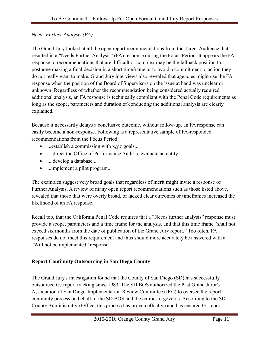## <span id="page-11-0"></span>*Needs Further Analysis (FA)*

The Grand Jury looked at all the open report recommendations from the Target Audience that resulted in a "Needs Further Analysis" (FA) response during the Focus Period. It appears the FA response to recommendations that are difficult or complex may be the fallback position to postpone making a final decision in a short timeframe or to avoid a commitment to action they do not really want to make. Grand Jury interviews also revealed that agencies might use the FA response when the position of the Board of Supervisors on the issue at hand was unclear or unknown. Regardless of whether the recommendation being considered actually required additional analysis, an FA response is technically compliant with the Penal Code requirements as long as the scope, parameters and duration of conducting the additional analysis are clearly explained.

Because it necessarily delays a conclusive outcome, without follow-up, an FA response can easily become a non-response. Following is a representative sample of FA-responded recommendations from the Focus Period:

- $\bullet$  ...establish a commission with x,y,z goals...
- ... direct the Office of Performance Audit to evaluate an entity...
- ... develop a database...
- ...implement a pilot program...

The examples suggest very broad goals that regardless of merit might invite a response of Further Analysis. A review of many open report recommendations such as those listed above, revealed that those that were overly broad, or lacked clear outcomes or timeframes increased the likelihood of an FA response.

Recall too, that the California Penal Code requires that a "Needs further analysis" response must provide a scope, parameters and a time frame for the analysis, and that this time frame "shall not exceed six months from the date of publication of the Grand Jury report." Too often, FA responses do not meet this requirement and thus should more accurately be answered with a "Will not be implemented" response.

## <span id="page-11-1"></span>**Report Continuity Outsourcing in San Diego County**

The Grand Jury's investigation found that the County of San Diego (SD) has successfully outsourced GJ report tracking since 1983. The SD BOS authorized the Past Grand Juror's Association of San Diego-Implementation Review Committee (IRC) to oversee the report continuity process on behalf of the SD BOS and the entities it governs. According to the SD County Administrative Office, this process has proven effective and has ensured GJ report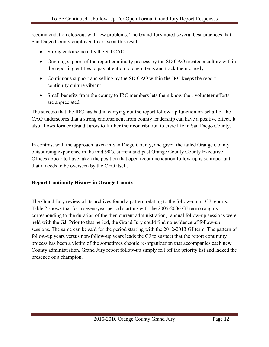recommendation closeout with few problems. The Grand Jury noted several best-practices that San Diego County employed to arrive at this result:

- Strong endorsement by the SD CAO
- Ongoing support of the report continuity process by the SD CAO created a culture within the reporting entities to pay attention to open items and track them closely
- Continuous support and selling by the SD CAO within the IRC keeps the report continuity culture vibrant
- Small benefits from the county to IRC members lets them know their volunteer efforts are appreciated.

The success that the IRC has had in carrying out the report follow-up function on behalf of the CAO underscores that a strong endorsement from county leadership can have a positive effect. It also allows former Grand Jurors to further their contribution to civic life in San Diego County.

In contrast with the approach taken in San Diego County, and given the failed Orange County outsourcing experience in the mid-90's, current and past Orange County County Executive Offices appear to have taken the position that open recommendation follow-up is so important that it needs to be overseen by the CEO itself.

## <span id="page-12-0"></span>**Report Continuity History in Orange County**

The Grand Jury review of its archives found a pattern relating to the follow-up on GJ reports. Table 2 shows that for a seven-year period starting with the 2005-2006 GJ term (roughly corresponding to the duration of the then current administration), annual follow-up sessions were held with the GJ. Prior to that period, the Grand Jury could find no evidence of follow-up sessions. The same can be said for the period starting with the 2012-2013 GJ term. The pattern of follow-up years versus non-follow-up years leads the GJ to suspect that the report continuity process has been a victim of the sometimes chaotic re-organization that accompanies each new County administration. Grand Jury report follow-up simply fell off the priority list and lacked the presence of a champion.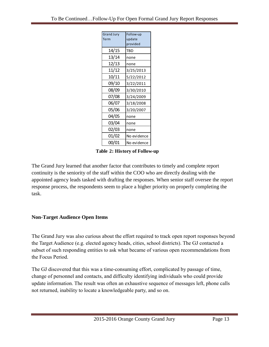| <b>Grand Jury</b> | Follow-up   |
|-------------------|-------------|
| Term              | update      |
|                   | provided    |
| 14/15             | TBD         |
| 13/14             | none        |
| 12/13             | none        |
| 11/12             | 3/25/2013   |
| 10/11             | 5/22/2012   |
| 09/10             | 3/22/2011   |
| 08/09             | 3/30/2010   |
| 07/08             | 3/24/2009   |
| 06/07             | 3/18/2008   |
| 05/06             | 3/20/2007   |
| 04/05             | none        |
| 03/04             | none        |
| 02/03             | none        |
| 01/02             | No evidence |
| 00/01             | No evidence |

**Table 2: History of Follow-up**

The Grand Jury learned that another factor that contributes to timely and complete report continuity is the seniority of the staff within the COO who are directly dealing with the appointed agency leads tasked with drafting the responses. When senior staff oversee the report response process, the respondents seem to place a higher priority on properly completing the task.

#### <span id="page-13-0"></span>**Non-Target Audience Open Items**

The Grand Jury was also curious about the effort required to track open report responses beyond the Target Audience (e.g. elected agency heads, cities, school districts). The GJ contacted a subset of such responding entities to ask what became of various open recommendations from the Focus Period.

The GJ discovered that this was a time-consuming effort, complicated by passage of time, change of personnel and contacts, and difficulty identifying individuals who could provide update information. The result was often an exhaustive sequence of messages left, phone calls not returned, inability to locate a knowledgeable party, and so on.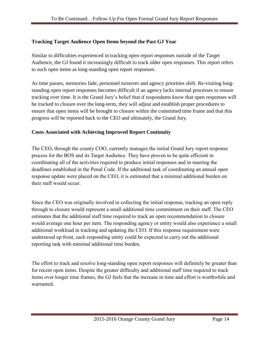### <span id="page-14-0"></span>**Tracking Target Audience Open Items beyond the Past GJ Year**

Similar to difficulties experienced in tracking open report responses outside of the Target Audience, the GJ found it increasingly difficult to track older open responses. This report refers to such open items as long-standing open report responses.

As time passes, memories fade, personnel turnover and agency priorities shift. Re-visiting longstanding open report responses becomes difficult if an agency lacks internal processes to ensure tracking over time. It is the Grand Jury's belief that if respondents know that open responses will be tracked to closure over the long-term, they will adjust and establish proper procedures to ensure that open items will be brought to closure within the committed time frame and that this progress will be reported back to the CEO and ultimately, the Grand Jury.

#### <span id="page-14-1"></span>**Costs Associated with Achieving Improved Report Continuity**

The CEO, through the county COO, currently manages the initial Grand Jury report response process for the BOS and its Target Audience. They have proven to be quite efficient in coordinating all of the activities required to produce initial responses and in meeting the deadlines established in the Penal Code. If the additional task of coordinating an annual open response update were placed on the CEO, it is estimated that a minimal additional burden on their staff would occur.

Since the CEO was originally involved in collecting the initial response, tracking an open reply through to closure would represent a small additional time commitment on their staff. The CEO estimates that the additional staff time required to track an open recommendation to closure would average one hour per item. The responding agency or entity would also experience a small additional workload in tracking and updating the CEO. If this response requirement were understood up front, each responding entity could be expected to carry out the additional reporting task with minimal additional time burden.

The effort to track and resolve long-standing open report responses will definitely be greater than for recent open items. Despite the greater difficulty and additional staff time required to track items over longer time frames, the GJ feels that the increase in time and effort is worthwhile and warranted.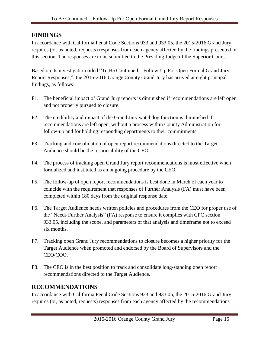## <span id="page-15-0"></span>**FINDINGS**

In accordance with California Penal Code Sections 933 and 933.05, the 2015-2016 Grand Jury requires (or, as noted, requests) responses from each agency affected by the findings presented in this section. The responses are to be submitted to the Presiding Judge of the Superior Court.

Based on its investigation titled "To Be Continued…Follow-Up For Open Formal Grand Jury Report Responses,", the 2015-2016 Orange County Grand Jury has arrived at eight principal findings, as follows:

- F1. The beneficial impact of Grand Jury reports is diminished if recommendations are left open and not properly pursued to closure.
- F2. The credibility and impact of the Grand Jury watchdog function is diminished if recommendations are left open, without a process within County Administration for follow-up and for holding responding departments to their commitments.
- F3. Tracking and consolidation of open report recommendations directed to the Target Audience should be the responsibility of the CEO.
- F4. The process of tracking open Grand Jury report recommendations is most effective when formalized and instituted as an ongoing procedure by the CEO.
- F5. The follow-up of open report recommendations is best done in March of each year to coincide with the requirement that responses of Further Analysis (FA) must have been completed within 180 days from the original response date.
- F6. The Target Audience needs written policies and procedures from the CEO for proper use of the "Needs Further Analysis" (FA) response to ensure it complies with CPC section 933.05, including the scope, and parameters of that analysis and timeframe not to exceed six months.
- F7. Tracking open Grand Jury recommendations to closure becomes a higher priority for the Target Audience when promoted and endorsed by the Board of Supervisors and the CEO/COO.
- F8. The CEO is in the best position to track and consolidate long-standing open report recommendations directed to the Target Audience.

# <span id="page-15-1"></span>**RECOMMENDATIONS**

In accordance with California Penal Code Sections 933 and 933.05, the 2015-2016 Grand Jury requires (or, as noted, requests) responses from each agency affected by the recommendations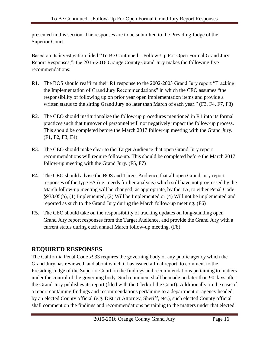presented in this section. The responses are to be submitted to the Presiding Judge of the Superior Court.

Based on its investigation titled "To Be Continued…Follow-Up For Open Formal Grand Jury Report Responses,", the 2015-2016 Orange County Grand Jury makes the following five recommendations:

- R1. The BOS should reaffirm their R1 response to the 2002-2003 Grand Jury report "Tracking the Implementation of Grand Jury Recommendations" in which the CEO assumes "the responsibility of following up on prior year open implementation items and provide a written status to the sitting Grand Jury no later than March of each year." (F3, F4, F7, F8)
- R2. The CEO should institutionalize the follow-up procedures mentioned in R1 into its formal practices such that turnover of personnel will not negatively impact the follow-up process. This should be completed before the March 2017 follow-up meeting with the Grand Jury. (F1, F2, F3, F4)
- R3. The CEO should make clear to the Target Audience that open Grand Jury report recommendations will require follow-up. This should be completed before the March 2017 follow-up meeting with the Grand Jury. (F5, F7)
- R4. The CEO should advise the BOS and Target Audience that all open Grand Jury report responses of the type FA (i.e., needs further analysis) which still have not progressed by the March follow-up meeting will be changed, as appropriate, by the TA, to either Penal Code §933.05(b), (1) Implemented, (2) Will be Implemented or (4) Will not be implemented and reported as such to the Grand Jury during the March follow-up meeting. (F6)
- R5. The CEO should take on the responsibility of tracking updates on long-standing open Grand Jury report responses from the Target Audience, and provide the Grand Jury with a current status during each annual March follow-up meeting. (F8)

# <span id="page-16-0"></span>**REQUIRED RESPONSES**

The California Penal Code §933 requires the governing body of any public agency which the Grand Jury has reviewed, and about which it has issued a final report, to comment to the Presiding Judge of the Superior Court on the findings and recommendations pertaining to matters under the control of the governing body. Such comment shall be made no later than 90 days after the Grand Jury publishes its report (filed with the Clerk of the Court). Additionally, in the case of a report containing findings and recommendations pertaining to a department or agency headed by an elected County official (e.g. District Attorney, Sheriff, etc.), such elected County official shall comment on the findings and recommendations pertaining to the matters under that elected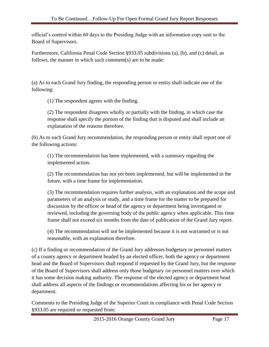official's control within 60 days to the Presiding Judge with an information copy sent to the Board of Supervisors.

Furthermore, California Penal Code Section §933.05 subdivisions (a), (b), and (c) detail, as follows, the manner in which such comment(s) are to be made:

(a) As to each Grand Jury finding, the responding person or entity shall indicate one of the following:

(1) The respondent agrees with the finding.

(2) The respondent disagrees wholly or partially with the finding, in which case the response shall specify the portion of the finding that is disputed and shall include an explanation of the reasons therefore.

(b) As to each Grand Jury recommendation, the responding person or entity shall report one of the following actions:

(1) The recommendation has been implemented, with a summary regarding the implemented action.

(2) The recommendation has not yet been implemented, but will be implemented in the future, with a time frame for implementation.

(3) The recommendation requires further analysis, with an explanation and the scope and parameters of an analysis or study, and a time frame for the matter to be prepared for discussion by the officer or head of the agency or department being investigated or reviewed, including the governing body of the public agency when applicable. This time frame shall not exceed six months from the date of publication of the Grand Jury report.

(4) The recommendation will not be implemented because it is not warranted or is not reasonable, with an explanation therefore.

(c) If a finding or recommendation of the Grand Jury addresses budgetary or personnel matters of a county agency or department headed by an elected officer, both the agency or department head and the Board of Supervisors shall respond if requested by the Grand Jury, but the response of the Board of Supervisors shall address only those budgetary /or personnel matters over which it has some decision making authority. The response of the elected agency or department head shall address all aspects of the findings or recommendations affecting his or her agency or department.

Comments to the Presiding Judge of the Superior Court in compliance with Penal Code Section §933.05 are required or requested from: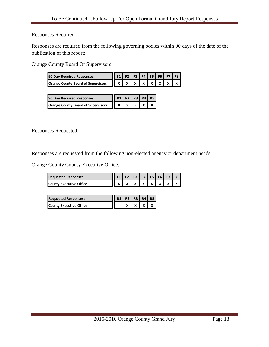Responses Required:

Responses are required from the following governing bodies within 90 days of the date of the publication of this report:

Orange County Board Of Supervisors:

| $\sim$ County Doute Of Dupervisors.       |                |    |                |           |                |    |           |    |
|-------------------------------------------|----------------|----|----------------|-----------|----------------|----|-----------|----|
| 90 Day Required Responses:                | F <sub>1</sub> | F2 | F <sub>3</sub> | F4        | F <sub>5</sub> | F6 | <b>F7</b> | F8 |
| <b>Orange County Board of Supervisors</b> | x              | X  | X              | x         | X              | x  | Χ         | X  |
|                                           |                |    |                |           |                |    |           |    |
| 90 Day Required Responses:                | R1             | R2 | R3             | <b>R4</b> | <b>R5</b>      |    |           |    |
| <b>Orange County Board of Supervisors</b> | X              | x  | Χ              |           | x              |    |           |    |

Responses Requested:

Responses are requested from the following non-elected agency or department heads:

Orange County County Executive Office:

| County County Executive Office. |                                 |  |  |  |  |  |  |                                   |
|---------------------------------|---------------------------------|--|--|--|--|--|--|-----------------------------------|
| <b>Requested Responses:</b>     | $\vert$ F1 F2 F3 F4 F5 F6 F7 F8 |  |  |  |  |  |  |                                   |
| <b>County Executive Office</b>  |                                 |  |  |  |  |  |  | x   x   x   x   x   x   x   x   x |

| <b>Requested Responses:</b> |  | R1 R2 R3 R4 R5 |  |
|-----------------------------|--|----------------|--|
| County Executive Office     |  |                |  |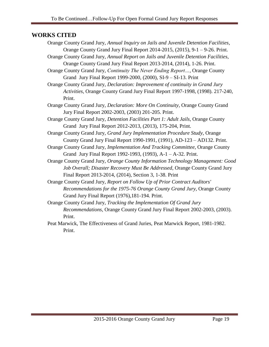### <span id="page-19-0"></span>**WORKS CITED**

- Orange County Grand Jury, *Annual Inquiry on Jails and Juvenile Detention Facilities*, Orange County Grand Jury Final Report 2014-2015, (2015), 9-1 – 9-26. Print.
- Orange County Grand Jury, *Annual Report on Jails and Juvenile Detention Facilities*, Orange County Grand Jury Final Report 2013-2014, (2014), 1-26. Print.
- Orange County Grand Jury, *Continuity The Never Ending Report…*, Orange County Grand Jury Final Report 1999-2000, (2000), SI-9 – SI-13. Print
- Orange County Grand Jury, *Declaration: Improvement of continuity in Grand Jury Activities*, Orange County Grand Jury Final Report 1997-1998, (1998). 217-240, Print.
- Orange County Grand Jury, *Declaration: More On Continuity*, Orange County Grand Jury Final Report 2002-2003, (2003) 201-205. Print.
- Orange County Grand Jury, *Detention Facilities Part 1: Adult Jails*, Orange County Grand Jury Final Report 2012-2013, (2013), 175-204, Print.
- Orange County Grand Jury, *Grand Jury Implementation Procedure Study*, Orange County Grand Jury Final Report 1990-1991, (1991), AD-123 – AD132. Print.
- Orange County Grand Jury, *Implementation And Tracking Committee*, Orange County Grand Jury Final Report 1992-1993, (1993), A-1 – A-32. Print.
- Orange County Grand Jury, *Orange County Information Technology Management: Good Job Overall; Disaster Recovery Must Be Addressed*, Orange County Grand Jury Final Report 2013-2014, (2014), Section 3, 1-38. Print
- Orange County Grand Jury, *Report on Follow Up of Prior Contract Auditors' Recommendations for the 1975-76 Orange County Grand Jury*, Orange County Grand Jury Final Report (1976),181-194. Print.
- Orange County Grand Jury, *Tracking the Implementation Of Grand Jury Recommendations*, Orange County Grand Jury Final Report 2002-2003, (2003). Print.
- Peat Marwick, The Effectiveness of Grand Juries, Peat Marwick Report, 1981-1982. Print.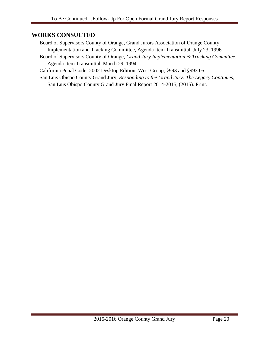## <span id="page-20-0"></span>**WORKS CONSULTED**

- Board of Supervisors County of Orange, Grand Jurors Association of Orange County Implementation and Tracking Committee, Agenda Item Transmittal, July 23, 1996.
- Board of Supervisors County of Orange, *Grand Jury Implementation & Tracking Committee*, Agenda Item Transmittal, March 29, 1994.

California Penal Code: 2002 Desktop Edition, West Group, §993 and §993.05.

San Luis Obispo County Grand Jury, *Responding to the Grand Jury: The Legacy Continues*, San Luis Obispo County Grand Jury Final Report 2014-2015, (2015). Print.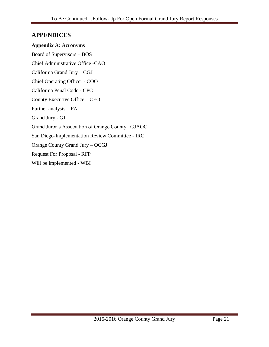## <span id="page-21-0"></span>**APPENDICES**

<span id="page-21-1"></span>**Appendix A: Acronyms** Board of Supervisors – BOS

Chief Administrative Office -CAO California Grand Jury – CGJ Chief Operating Officer - COO California Penal Code - CPC County Executive Office – CEO Further analysis – FA Grand Jury - GJ Grand Juror's Association of Orange County –GJAOC San Diego-Implementation Review Committee - IRC Orange County Grand Jury – OCGJ Request For Proposal - RFP Will be implemented - WBI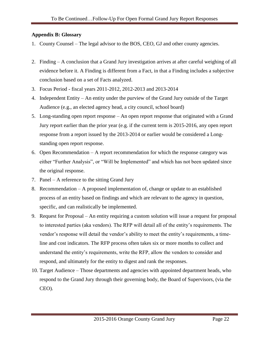#### <span id="page-22-0"></span>**Appendix B: Glossary**

- 1. County Counsel The legal advisor to the BOS, CEO, GJ and other county agencies.
- 2. Finding A conclusion that a Grand Jury investigation arrives at after careful weighing of all evidence before it. A Finding is different from a Fact, in that a Finding includes a subjective conclusion based on a set of Facts analyzed.
- 3. Focus Period fiscal years 2011-2012, 2012-2013 and 2013-2014
- 4. Independent Entity An entity under the purview of the Grand Jury outside of the Target Audience (e.g., an elected agency head, a city council, school board)
- 5. Long-standing open report response An open report response that originated with a Grand Jury report earlier than the prior year (e.g. if the current term is 2015-2016, any open report response from a report issued by the 2013-2014 or earlier would be considered a Longstanding open report response.
- 6. Open Recommendation A report recommendation for which the response category was either "Further Analysis", or "Will be Implemented" and which has not been updated since the original response.
- 7. Panel A reference to the sitting Grand Jury
- 8. Recommendation A proposed implementation of, change or update to an established process of an entity based on findings and which are relevant to the agency in question, specific, and can realistically be implemented.
- 9. Request for Proposal An entity requiring a custom solution will issue a request for proposal to interested parties (aka vendors). The RFP will detail all of the entity's requirements. The vendor's response will detail the vendor's ability to meet the entity's requirements, a timeline and cost indicators. The RFP process often takes six or more months to collect and understand the entity's requirements, write the RFP, allow the vendors to consider and respond, and ultimately for the entity to digest and rank the responses.
- 10. Target Audience Those departments and agencies with appointed department heads, who respond to the Grand Jury through their governing body, the Board of Supervisors, (via the CEO).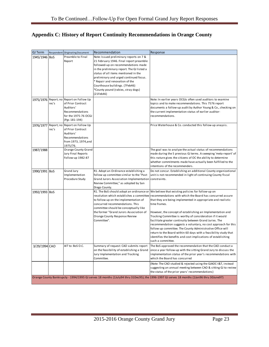# <span id="page-23-0"></span>**Appendix C: History of Report Continuity Recommendations in Orange County**

| <b>GJ Term</b> | Respondent | <b>Originating Document</b>      | Recommendation                                                           | Response                                                                                                                                  |
|----------------|------------|----------------------------------|--------------------------------------------------------------------------|-------------------------------------------------------------------------------------------------------------------------------------------|
| 1945/1946 BoS  |            | Preamble to Final                | Note: Issued preliminary reports on 7 &                                  |                                                                                                                                           |
|                |            | Report                           | 21 February 1946. Final report preamble                                  |                                                                                                                                           |
|                |            |                                  | followed-up on recommendations made                                      |                                                                                                                                           |
|                |            |                                  | in the preliminary report. The GJ listed a                               |                                                                                                                                           |
|                |            |                                  | status of all items mentioned in the                                     |                                                                                                                                           |
|                |            |                                  | preliminary and urged continued focus.                                   |                                                                                                                                           |
|                |            |                                  | * Repair and renovation of the                                           |                                                                                                                                           |
|                |            |                                  | Courthouse buildings. (7Feb46)<br>*County pound (rabies, stray dogs)     |                                                                                                                                           |
|                |            |                                  | (21Feb46)                                                                |                                                                                                                                           |
| 1975/1976      | Report; no | Report on Follow Up              |                                                                          | Note: In earlier years OCGJs often used auditors to examine                                                                               |
|                | rec's      | of Prior Contract                |                                                                          | topics and to make recommendations. This 7576 report                                                                                      |
|                |            | Auditors'                        |                                                                          | documents a follow-up audit by Author Young & Co., checking on                                                                            |
|                |            | Recommendations                  |                                                                          | the current implementation status of earlier auditor-                                                                                     |
|                |            | for the 1975-76 OCGJ             |                                                                          | recommendations.                                                                                                                          |
|                |            | (Pgs 181-194)                    |                                                                          |                                                                                                                                           |
| 1976/1977      | Report; no | Report on Follow Up              |                                                                          | Price Waterhouse & Co. conducted this follow-up anaysis.                                                                                  |
|                | rec's      | of Prior Contract                |                                                                          |                                                                                                                                           |
|                |            | Auditors'                        |                                                                          |                                                                                                                                           |
|                |            | Recommendations                  |                                                                          |                                                                                                                                           |
|                |            | from 1973, 1974, and<br>1975/76. |                                                                          |                                                                                                                                           |
| 1987/1988      |            | <b>Orange County Grand</b>       |                                                                          | The goal was to analyze the actual status of recommendations                                                                              |
|                |            | Jury Final Reports               |                                                                          | made during the 5 previous GJ terms. A sweeping 'meta-report' of                                                                          |
|                |            | Follow-up 1982-87                |                                                                          | this nature gives the citizens of OC the ability to determine                                                                             |
|                |            |                                  |                                                                          | whether commitments made have actually been fulfilled to the                                                                              |
|                |            |                                  |                                                                          | intentions of the recommenders.                                                                                                           |
| 1990/1991 BoS  |            | <b>Grand Jury</b>                | R1. Adopt an Ordinance establishing a                                    | Do not concur. Establishing an additional County organizational                                                                           |
|                |            | Implementation                   | follow up committee similar to the "Past                                 | unit is not recommended in light of continuing County fiscal                                                                              |
|                |            | Procedure Study                  | Grand Jurors Association Implementation constraints.                     |                                                                                                                                           |
|                |            |                                  | Review Committee," as adopted by San                                     |                                                                                                                                           |
|                |            |                                  | Diego County.                                                            |                                                                                                                                           |
| 1992/1993 BoS  |            |                                  | R1. The BoS should adopt an ordinance or                                 | We believe that existing policies for follow-up on                                                                                        |
|                |            |                                  | resolution which establishes a committee                                 | recommendations with which the Board has concurred assure                                                                                 |
|                |            |                                  | to follow up on the implementation of<br>concurred recommendations. This | that they are being implemented in appropriate and realistic<br>time frames.                                                              |
|                |            |                                  | committee should be conceptually like                                    |                                                                                                                                           |
|                |            |                                  | the former "Grand Jurors Association of                                  | However, the concept of establishing an Implementation and                                                                                |
|                |            |                                  | Orange County Response Review                                            | Tracking Committee is worthy of consideration if it would                                                                                 |
|                |            |                                  | Committee".                                                              | facilitate greater continuity between Grand Juries. The                                                                                   |
|                |            |                                  |                                                                          | recommendation suggests a voluntary, no cost approach for this                                                                            |
|                |            |                                  |                                                                          | follow up committee. The County Administrative Office will                                                                                |
|                |            |                                  |                                                                          | return to the Board within 60 days with a feasibility study that                                                                          |
|                |            |                                  |                                                                          | identifies the benefits and cost implications of establishing                                                                             |
|                |            |                                  |                                                                          | such a committee.                                                                                                                         |
| 3/29/1994 CAO  |            | AIT to: BoS O.C.                 | Summary of request: CAO submits report                                   | The BoS approved the recommendation that the CAO conduct a                                                                                |
|                |            |                                  | on the feasibility of establishing a Grand                               | once a year follow-up with the sitting Grand Jury to discuss the                                                                          |
|                |            |                                  | Jury Implementation and Tracking                                         | implementation status of the prior year's recommendations with                                                                            |
|                |            |                                  | Committee.                                                               | which the Board has concurred                                                                                                             |
|                |            |                                  |                                                                          | (Note: The CAO studied & rejected using the GJAOC-I&T, instead                                                                            |
|                |            |                                  |                                                                          | suggesting an annual meeting between CAO & sitting GJ to review                                                                           |
|                |            |                                  |                                                                          | the status of the prior years' recommendations)                                                                                           |
|                |            |                                  |                                                                          | Orange County Bankrupcty - 1994/1995 GJ serves 18 months (1July94 thru 31Dec95); the 1996-1997 GJ serves 18 months (1Jan96 thru 30June97) |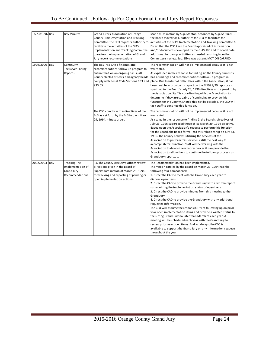| 7/23/1996 Bos |            | <b>BoS Minutes</b>                                                               | Grand Jurors Association of Orange<br>County - Implementation and Tracking<br>Committee: The CEO requests authority to<br>facilitate the activities of the GJA's<br>Implementation and Tracking Committee<br>to review the implementation of Grand<br>Jury report recommendations. | Motion: On motion by Sup. Stanton, seconded by Sup. Saltarelli,<br>the Board moved to: 1. Authorize the CEO to facilitate the<br>activities of the GJA's Implementation and Tracking Committee 2.<br>Direct that the CEO keep the Board appraised of information<br>and/or documents developed by the GJA's ITC and to coordinate<br>additional follow-up activities as needed resulting from the<br>Committee's review. Sup. Silva was absent. MOTION CARRIED.                                                                                                                                                                                                                                                                                                                                                                                                                                                                                           |
|---------------|------------|----------------------------------------------------------------------------------|------------------------------------------------------------------------------------------------------------------------------------------------------------------------------------------------------------------------------------------------------------------------------------|-----------------------------------------------------------------------------------------------------------------------------------------------------------------------------------------------------------------------------------------------------------------------------------------------------------------------------------------------------------------------------------------------------------------------------------------------------------------------------------------------------------------------------------------------------------------------------------------------------------------------------------------------------------------------------------------------------------------------------------------------------------------------------------------------------------------------------------------------------------------------------------------------------------------------------------------------------------|
| 1999/2000     | BoS        | Continuity<br>The Never Ending<br>Report                                         | The BoS institute a findings and<br>recommendations follow-up program to<br>ensure that, on an ongoing basis, all<br>County elected officers and agency heads<br>comply with Penal Code Sections 933 and<br>933.05.                                                                | The recommendation will not be implemented because it is not<br>warranted.<br>As explained in the response to finding #2, the County currently<br>has a findings and recommendations follow-up program in<br>place. Due to internal difficulties within the Association, it has<br>been unable to provide its report on the FY1998/99 reports as<br>specified in the Board's July 23, 1996 directives and agreed to by<br>the Association. Staff is coordinating with the Association to<br>determine if they are capable of continuing to provide this<br>function for the County. Should this not be possible, the CEO will<br>task staff to continue this function.                                                                                                                                                                                                                                                                                    |
|               |            |                                                                                  | The CEO comply with 4 directives of the<br>BoS as set forth by the BoS in their March<br>29, 1994, minute order.                                                                                                                                                                   | The recommendation will not be implemented because it is not<br>warranted.<br>As stated in the response to finding 2, the Board's directives of<br>July 23, 1996 superceded those of its March 29, 1994 directive.<br>Based upon the Association's request to perform this function<br>for the Board, the Board formalized this relationship on July 23,<br>1996. The County believes utilizing the services of the<br>Association to perform this service is still the best way to<br>accomplish this function. Staff will be working with the<br>Association to determine what resources it can provide the<br>Association to allow them to continue the follow-up process on<br>Grand Jury reports                                                                                                                                                                                                                                                     |
| 2002/2003     | <b>BoS</b> | <b>Tracking The</b><br>Implementation of<br><b>Grand Jury</b><br>Recommendations | R1. The County Executive Officer review<br>directions given in the Board of<br>Supervisors motion of March 29, 1994,<br>for tracking and reporting of pending or<br>open implementation actions.                                                                                   | The Recommendation has been implemented.<br>The motion carried by the Board on March 29, 1994 had the<br>following four components:<br>1. Direct the CAO to meet with the Grand Jury each year to<br>discuss open items.<br>2. Direct the CAO to provide the Grand Jury with a written report<br>summarizing the implementation status of open items.<br>3. Direct the CAO to provide minutes from this meeting to the<br>Grand Jury.<br>4. Direct the CAO to provide the Grand Jury with any additional<br>requested information.<br>The CEO will assume the responsibility of following up on prior<br>year open implementation items and provide a written status to<br>the sitting Grand Jury no later than March of each year. A<br>meeting will be scheduled each year with the Grand Jury to<br>review prior year open items. And as always, the CEO is<br>available to support the Grand Jury on any information requests<br>throughout the year. |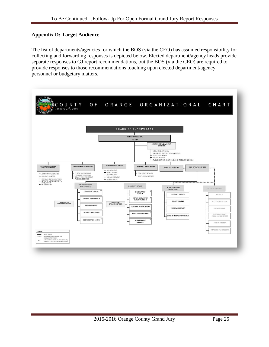#### <span id="page-25-0"></span>**Appendix D: Target Audience**

The list of departments/agencies for which the BOS (via the CEO) has assumed responsibility for collecting and forwarding responses is depicted below. Elected department/agency heads provide separate responses to GJ report recommendations, but the BOS (via the CEO) are required to provide responses to those recommendations touching upon elected department/agency personnel or budgetary matters.

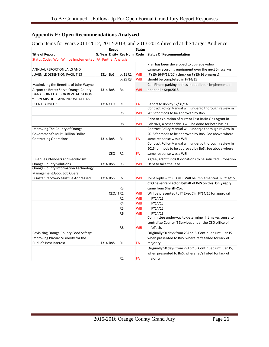## <span id="page-26-0"></span>**Appendix E: Open Recommendations Analyzed**

Open items for years 2011-2012, 2012-2013, and 2013-2014 directed at the Target Audience:

|                                                           |          | Respd    |                             | <b>Status</b> |                                                           |
|-----------------------------------------------------------|----------|----------|-----------------------------|---------------|-----------------------------------------------------------|
| <b>Title of Report</b>                                    |          |          | GJ Year Entity Rec Num Code |               | <b>Status Of Recommendation</b>                           |
| Status Code: WbI=Will be Implemented, FA=Further Analysis |          |          |                             |               |                                                           |
|                                                           |          |          |                             |               | Plan has been developed to upgrade video                  |
| ANNUAL REPORT ON JAILS AND                                |          |          |                             |               | camera/recording equipment over the next 5 fiscal yrs     |
| <b>JUVENILE DETENTION FACILITIES</b>                      | 1314 BoS |          | pg11R1                      | <b>WBI</b>    | (FY15/16-FY19/20) (check on FY15/16 progress)             |
|                                                           |          |          | pg25R3                      | <b>WBI</b>    | should be completed in FY14/15                            |
| Maximizing the Benefits of John Wayne                     |          |          |                             |               | Cell Phone parking lot has indeed been implementedl       |
| Airport to Better Serve Orange County                     | 1314 BoS |          | R4                          | <b>WBI</b>    | opened in Sept2015.                                       |
| DANA POINT HARBOR REVITALIZATION                          |          |          |                             |               |                                                           |
| ~15 YEARS OF PLANNING: WHAT HAS                           |          |          |                             |               |                                                           |
| <b>BEEN LEARNED?</b>                                      | 1314 CEO |          | R1                          | FA            | Report to BoS by 12/31/14                                 |
|                                                           |          |          |                             |               | Contract Policy Manual will undergo thorough review in    |
|                                                           |          |          | R <sub>5</sub>              | <b>WBI</b>    | 2015 for mods to be approved by BoS                       |
|                                                           |          |          |                             |               | Prior to expiration of current East Basin Ops Agrmt in    |
|                                                           |          |          | R8                          | <b>WBI</b>    | Feb2021, a cost analysis will be done for both basins     |
| Improving The County of Orange                            |          |          |                             |               | Contract Policy Manual will undergo thorough review in    |
| Government's Multi-Billion Dollar                         |          |          |                             |               | 2015 for mods to be approved by BoS. See above where      |
| <b>Contracting Operations</b>                             | 1314 BoS |          | R1                          | FA            | same response was a WBI                                   |
|                                                           |          |          |                             |               | Contract Policy Manual will undergo thorough review in    |
|                                                           |          |          |                             |               | 2015 for mods to be approved by BoS. See above where      |
|                                                           |          | CEO      | R <sub>2</sub>              | FA            | same response was a WBI                                   |
| Juvenile Offenders and Recidivism:                        |          |          |                             |               | Agree, grant funds & donations to be solicited. Probation |
| <b>Orange County Solutions</b>                            | 1314 BoS |          | R3                          | <b>WBI</b>    | Dept to take the lead.                                    |
| Orange County Information Technology                      |          |          |                             |               |                                                           |
| Management: Good Job Overall;                             |          |          |                             |               |                                                           |
| Disaster Recovery Must Be Addressed                       | 1314 BoS |          | R <sub>2</sub>              | <b>WBI</b>    | Joint reply with CEO/IT. Will be implemented in FY14/15   |
|                                                           |          |          |                             |               | CEO never replied on behalf of BoS on this. Only reply    |
|                                                           |          |          | R <sub>3</sub>              |               | came from Sheriff-Cor.                                    |
|                                                           |          | CEO/ITR1 |                             | <b>WBI</b>    | Will be presented to IT Exec C in FY14/15 for approval    |
|                                                           |          |          | R <sub>2</sub>              | <b>WBI</b>    | in FY14/15                                                |
|                                                           |          |          | R4                          | <b>WBI</b>    | in FY14/15                                                |
|                                                           |          |          | R <sub>5</sub>              | <b>WBI</b>    | in FY14/15                                                |
|                                                           |          |          | R6                          | <b>WBI</b>    | in FY14/15                                                |
|                                                           |          |          |                             |               | Committee underway to determine if it makes sense to      |
|                                                           |          |          |                             |               | centralize County IT Services under the CEO office of     |
|                                                           |          |          | R8                          | <b>WBI</b>    | InfoTech.                                                 |
| Revisiting Orange County Food Safety:                     |          |          |                             |               | Originally 90 days from 29Apr15. Continued until Jan15,   |
| Improving Placard Visibility for the                      |          |          |                             |               | when presented to BoS, where rec's failed for lack of     |
| Public's Best Interest                                    | 1314 BoS |          | R1                          | <b>FA</b>     | majority                                                  |
|                                                           |          |          |                             |               | Originally 90 days from 29Apr15. Continued until Jan15,   |
|                                                           |          |          |                             |               | when presented to BoS, where rec's failed for lack of     |
|                                                           |          |          | R2                          | FA            | majority                                                  |